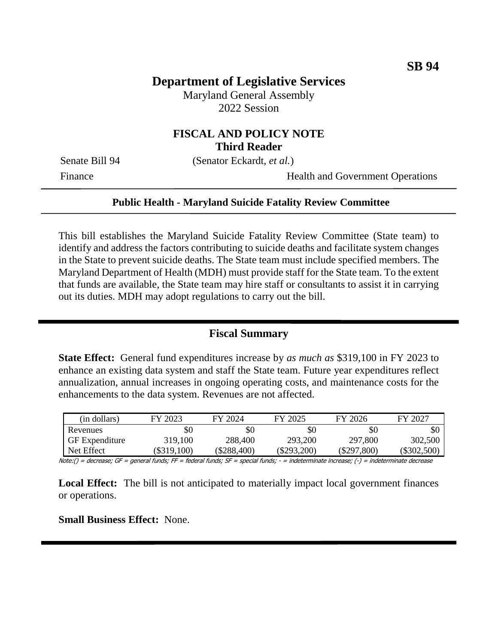## **Department of Legislative Services**

Maryland General Assembly 2022 Session

### **FISCAL AND POLICY NOTE Third Reader**

Senate Bill 94 (Senator Eckardt, *et al.*)

Finance Health and Government Operations

#### **Public Health - Maryland Suicide Fatality Review Committee**

This bill establishes the Maryland Suicide Fatality Review Committee (State team) to identify and address the factors contributing to suicide deaths and facilitate system changes in the State to prevent suicide deaths. The State team must include specified members. The Maryland Department of Health (MDH) must provide staff for the State team. To the extent that funds are available, the State team may hire staff or consultants to assist it in carrying out its duties. MDH may adopt regulations to carry out the bill.

### **Fiscal Summary**

**State Effect:** General fund expenditures increase by *as much as* \$319,100 in FY 2023 to enhance an existing data system and staff the State team. Future year expenditures reflect annualization, annual increases in ongoing operating costs, and maintenance costs for the enhancements to the data system. Revenues are not affected.

| (in dollars)          | FY 2023   | FY 2024       | FY 2025       | FY 2026       | FY 2027       |
|-----------------------|-----------|---------------|---------------|---------------|---------------|
| Revenues              | \$0       | \$0           | \$0           | \$0           | \$0           |
| <b>GF</b> Expenditure | 319,100   | 288,400       | 293,200       | 297,800       | 302,500       |
| Net Effect            | \$319,100 | $(\$288,400)$ | $(\$293,200)$ | $(\$297,800)$ | $(\$302,500)$ |

Note:() = decrease; GF = general funds; FF = federal funds; SF = special funds; - = indeterminate increase; (-) = indeterminate decrease

**Local Effect:** The bill is not anticipated to materially impact local government finances or operations.

**Small Business Effect:** None.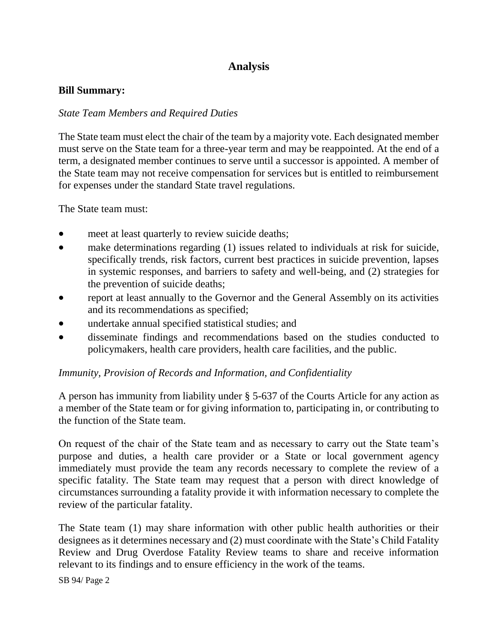# **Analysis**

#### **Bill Summary:**

### *State Team Members and Required Duties*

The State team must elect the chair of the team by a majority vote. Each designated member must serve on the State team for a three-year term and may be reappointed. At the end of a term, a designated member continues to serve until a successor is appointed. A member of the State team may not receive compensation for services but is entitled to reimbursement for expenses under the standard State travel regulations.

The State team must:

- meet at least quarterly to review suicide deaths;
- make determinations regarding (1) issues related to individuals at risk for suicide, specifically trends, risk factors, current best practices in suicide prevention, lapses in systemic responses, and barriers to safety and well-being, and (2) strategies for the prevention of suicide deaths;
- report at least annually to the Governor and the General Assembly on its activities and its recommendations as specified;
- undertake annual specified statistical studies; and
- disseminate findings and recommendations based on the studies conducted to policymakers, health care providers, health care facilities, and the public.

### *Immunity, Provision of Records and Information, and Confidentiality*

A person has immunity from liability under § 5-637 of the Courts Article for any action as a member of the State team or for giving information to, participating in, or contributing to the function of the State team.

On request of the chair of the State team and as necessary to carry out the State team's purpose and duties, a health care provider or a State or local government agency immediately must provide the team any records necessary to complete the review of a specific fatality. The State team may request that a person with direct knowledge of circumstances surrounding a fatality provide it with information necessary to complete the review of the particular fatality.

The State team (1) may share information with other public health authorities or their designees as it determines necessary and (2) must coordinate with the State's Child Fatality Review and Drug Overdose Fatality Review teams to share and receive information relevant to its findings and to ensure efficiency in the work of the teams.

SB 94/ Page 2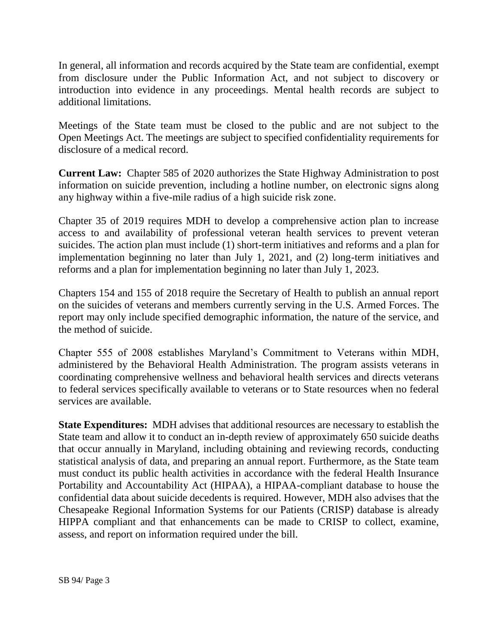In general, all information and records acquired by the State team are confidential, exempt from disclosure under the Public Information Act, and not subject to discovery or introduction into evidence in any proceedings. Mental health records are subject to additional limitations.

Meetings of the State team must be closed to the public and are not subject to the Open Meetings Act. The meetings are subject to specified confidentiality requirements for disclosure of a medical record.

**Current Law:** Chapter 585 of 2020 authorizes the State Highway Administration to post information on suicide prevention, including a hotline number, on electronic signs along any highway within a five-mile radius of a high suicide risk zone.

Chapter 35 of 2019 requires MDH to develop a comprehensive action plan to increase access to and availability of professional veteran health services to prevent veteran suicides. The action plan must include (1) short-term initiatives and reforms and a plan for implementation beginning no later than July 1, 2021, and (2) long-term initiatives and reforms and a plan for implementation beginning no later than July 1, 2023.

Chapters 154 and 155 of 2018 require the Secretary of Health to publish an annual report on the suicides of veterans and members currently serving in the U.S. Armed Forces. The report may only include specified demographic information, the nature of the service, and the method of suicide.

Chapter 555 of 2008 establishes Maryland's Commitment to Veterans within MDH, administered by the Behavioral Health Administration. The program assists veterans in coordinating comprehensive wellness and behavioral health services and directs veterans to federal services specifically available to veterans or to State resources when no federal services are available.

**State Expenditures:** MDH advises that additional resources are necessary to establish the State team and allow it to conduct an in-depth review of approximately 650 suicide deaths that occur annually in Maryland, including obtaining and reviewing records, conducting statistical analysis of data, and preparing an annual report. Furthermore, as the State team must conduct its public health activities in accordance with the federal Health Insurance Portability and Accountability Act (HIPAA), a HIPAA-compliant database to house the confidential data about suicide decedents is required. However, MDH also advises that the Chesapeake Regional Information Systems for our Patients (CRISP) database is already HIPPA compliant and that enhancements can be made to CRISP to collect, examine, assess, and report on information required under the bill.